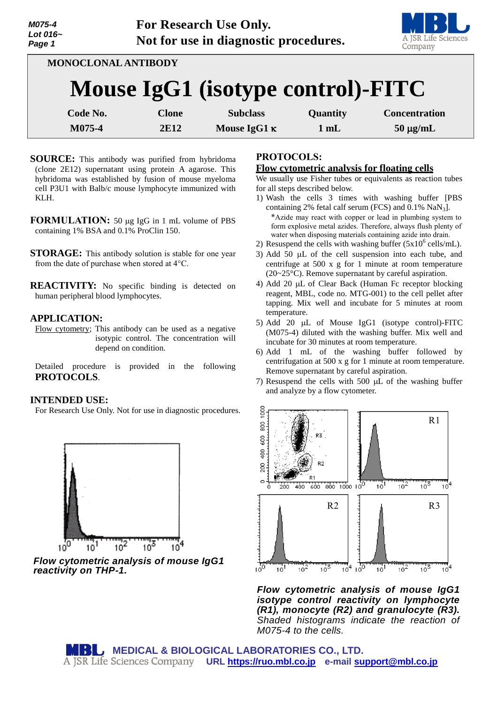| M075-4<br>Lot 016~<br>Page 1 |                            | For Research Use Only.<br>Not for use in diagnostic procedures. |                  | A JSR Life Sciences<br>Company |
|------------------------------|----------------------------|-----------------------------------------------------------------|------------------|--------------------------------|
|                              | <b>MONOCLONAL ANTIBODY</b> | Mouse IgG1 (isotype control)-FITC                               |                  |                                |
|                              |                            |                                                                 |                  |                                |
| Code No.<br>M075-4           | <b>Clone</b><br>2E12       | <b>Subclass</b><br>Mouse IgG1 $\kappa$                          | Quantity<br>1 mL | <b>Concentration</b>           |
|                              |                            |                                                                 |                  | $50 \mu g/mL$                  |

- **SOURCE:** This antibody was purified from hybridoma (clone 2E12) supernatant using protein A agarose. This hybridoma was established by fusion of mouse myeloma cell P3U1 with Balb/c mouse lymphocyte immunized with KLH.
- **FORMULATION:** 50 µg IgG in 1 mL volume of PBS containing 1% BSA and 0.1% ProClin 150.
- **STORAGE:** This antibody solution is stable for one year from the date of purchase when stored at 4°C.

**REACTIVITY:** No specific binding is detected on human peripheral blood lymphocytes.

## **APPLICATION:**

Flow cytometry; This antibody can be used as a negative isotypic control. The concentration will depend on condition.

Detailed procedure is provided in the following **PROTOCOLS**.

### **INTENDED USE:**

For Research Use Only. Not for use in diagnostic procedures.



*Flow cytometric analysis of mouse IgG1 reactivity on THP-1.*

## **PROTOCOLS:**

#### **Flow cytometric analysis for floating cells**

We usually use Fisher tubes or equivalents as reaction tubes for all steps described below.

- 1) Wash the cells 3 times with washing buffer [PBS containing 2% fetal calf serum (FCS) and  $0.1\%$  NaN<sub>3</sub>]. \*Azide may react with copper or lead in plumbing system to form explosive metal azides. Therefore, always flush plenty of water when disposing materials containing azide into drain.
- 2) Resuspend the cells with washing buffer  $(5x10^6 \text{ cells/mL})$ .
- 3) Add 50  $\mu$ L of the cell suspension into each tube, and centrifuge at 500 x g for 1 minute at room temperature (20~25°C). Remove supernatant by careful aspiration.
- 4) Add 20 µL of Clear Back (Human Fc receptor blocking reagent, MBL, code no. MTG-001) to the cell pellet after tapping. Mix well and incubate for 5 minutes at room temperature.
- 5) Add 20  $\mu$ L of Mouse IgG1 (isotype control)-FITC (M075-4) diluted with the washing buffer. Mix well and incubate for 30 minutes at room temperature.
- 6) Add 1 mL of the washing buffer followed by centrifugation at 500 x g for 1 minute at room temperature. Remove supernatant by careful aspiration.
- 7) Resuspend the cells with  $500 \mu L$  of the washing buffer and analyze by a flow cytometer.



*Flow cytometric analysis of mouse IgG1 isotype control reactivity on lymphocyte (R1), monocyte (R2) and granulocyte (R3). Shaded histograms indicate the reaction of M075-4 to the cells.*